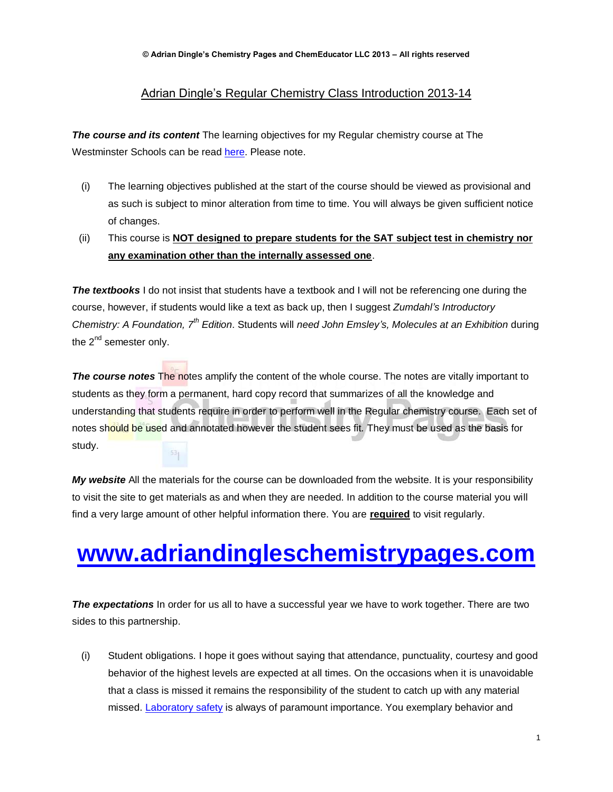## Adrian Dingle's Regular Chemistry Class Introduction 2013-14

*The course and its content* The learning objectives for my Regular chemistry course at The Westminster Schools can be read [here.](http://www.adriandingleschemistrypages.com/regular-class-2013-14-learning-objectives-and-test-study-guide/) Please note.

- (i) The learning objectives published at the start of the course should be viewed as provisional and as such is subject to minor alteration from time to time. You will always be given sufficient notice of changes.
- (ii) This course is **NOT designed to prepare students for the SAT subject test in chemistry nor any examination other than the internally assessed one**.

*The textbooks* I do not insist that students have a textbook and I will not be referencing one during the course, however, if students would like a text as back up, then I suggest *Zumdahl's Introductory Chemistry: A Foundation, 7th Edition*. Students will *need John Emsley's, Molecules at an Exhibition* during the 2<sup>nd</sup> semester only.

*The course notes* The notes amplify the content of the whole course. The notes are vitally important to students as they form a permanent, hard copy record that summarizes of all the knowledge and understanding that students require in order to perform well in the Regular chemistry course. Each set of notes should be used and annotated however the student sees fit. They must be used as the basis for study.  $53<sub>1</sub>$ 

*My website* All the materials for the course can be downloaded from the website. It is your responsibility to visit the site to get materials as and when they are needed. In addition to the course material you will find a very large amount of other helpful information there. You are **required** to visit regularly.

## **[www.adriandingleschemistrypages.com](http://www.adriandingleschemistrypages.com/)**

*The expectations* In order for us all to have a successful year we have to work together. There are two sides to this partnership.

(i) Student obligations. I hope it goes without saying that attendance, punctuality, courtesy and good behavior of the highest levels are expected at all times. On the occasions when it is unavoidable that a class is missed it remains the responsibility of the student to catch up with any material missed. [Laboratory safety](http://www.adriandingleschemistrypages.com/wp-content/uploads/2013/08/safety.pdf) is always of paramount importance. You exemplary behavior and